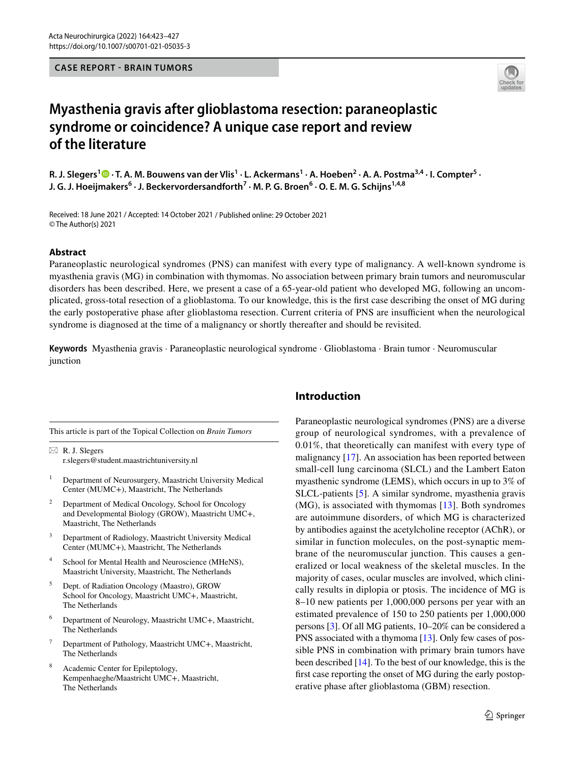### **CASE REPORT - BRAIN TUMORS**



# **Myasthenia gravis after glioblastoma resection: paraneoplastic syndrome or coincidence? A unique case report and review of the literature**

R. J. Slegers<sup>[1](http://orcid.org/0000-0003-2537-428X)</sup> <sup>O</sup> · T. A. M. Bouwens van der Vlis<sup>1</sup> · L. Ackermans<sup>1</sup> · A. Hoeben<sup>2</sup> · A. A. Postma<sup>3,4</sup> · I. Compter<sup>5</sup> · **J. G. J. Hoeijmakers<sup>6</sup> · J. Beckervordersandforth7 · M. P. G. Broen6 · O. E. M. G. Schijns1,4,8**

Received: 18 June 2021 / Accepted: 14 October 2021 / Published online: 29 October 2021 © The Author(s) 2021

#### **Abstract**

Paraneoplastic neurological syndromes (PNS) can manifest with every type of malignancy. A well-known syndrome is myasthenia gravis (MG) in combination with thymomas. No association between primary brain tumors and neuromuscular disorders has been described. Here, we present a case of a 65-year-old patient who developed MG, following an uncomplicated, gross-total resection of a glioblastoma. To our knowledge, this is the frst case describing the onset of MG during the early postoperative phase after glioblastoma resection. Current criteria of PNS are insufcient when the neurological syndrome is diagnosed at the time of a malignancy or shortly thereafter and should be revisited.

**Keywords** Myasthenia gravis · Paraneoplastic neurological syndrome · Glioblastoma · Brain tumor · Neuromuscular junction

This article is part of the Topical Collection on *Brain Tumors*

 $\boxtimes$  R. J. Slegers r.slegers@student.maastrichtuniversity.nl

- <sup>1</sup> Department of Neurosurgery, Maastricht University Medical Center (MUMC+), Maastricht, The Netherlands
- <sup>2</sup> Department of Medical Oncology, School for Oncology and Developmental Biology (GROW), Maastricht UMC+, Maastricht, The Netherlands
- <sup>3</sup> Department of Radiology, Maastricht University Medical Center (MUMC+), Maastricht, The Netherlands
- School for Mental Health and Neuroscience (MHeNS), Maastricht University, Maastricht, The Netherlands
- <sup>5</sup> Dept. of Radiation Oncology (Maastro), GROW School for Oncology, Maastricht UMC+, Maastricht, The Netherlands
- <sup>6</sup> Department of Neurology, Maastricht UMC+, Maastricht, The Netherlands
- Department of Pathology, Maastricht UMC+, Maastricht, The Netherlands
- Academic Center for Epileptology, Kempenhaeghe/Maastricht UMC+, Maastricht, The Netherlands

# **Introduction**

Paraneoplastic neurological syndromes (PNS) are a diverse group of neurological syndromes, with a prevalence of 0.01%, that theoretically can manifest with every type of malignancy [[17\]](#page-4-0). An association has been reported between small-cell lung carcinoma (SLCL) and the Lambert Eaton myasthenic syndrome (LEMS), which occurs in up to 3% of SLCL-patients [[5](#page-3-0)]. A similar syndrome, myasthenia gravis (MG), is associated with thymomas [[13\]](#page-4-1). Both syndromes are autoimmune disorders, of which MG is characterized by antibodies against the acetylcholine receptor (AChR), or similar in function molecules, on the post-synaptic membrane of the neuromuscular junction. This causes a generalized or local weakness of the skeletal muscles. In the majority of cases, ocular muscles are involved, which clinically results in diplopia or ptosis. The incidence of MG is 8–10 new patients per 1,000,000 persons per year with an estimated prevalence of 150 to 250 patients per 1,000,000 persons [[3\]](#page-3-1). Of all MG patients, 10–20% can be considered a PNS associated with a thymoma [\[13\]](#page-4-1). Only few cases of possible PNS in combination with primary brain tumors have been described [[14](#page-4-2)]. To the best of our knowledge, this is the frst case reporting the onset of MG during the early postoperative phase after glioblastoma (GBM) resection.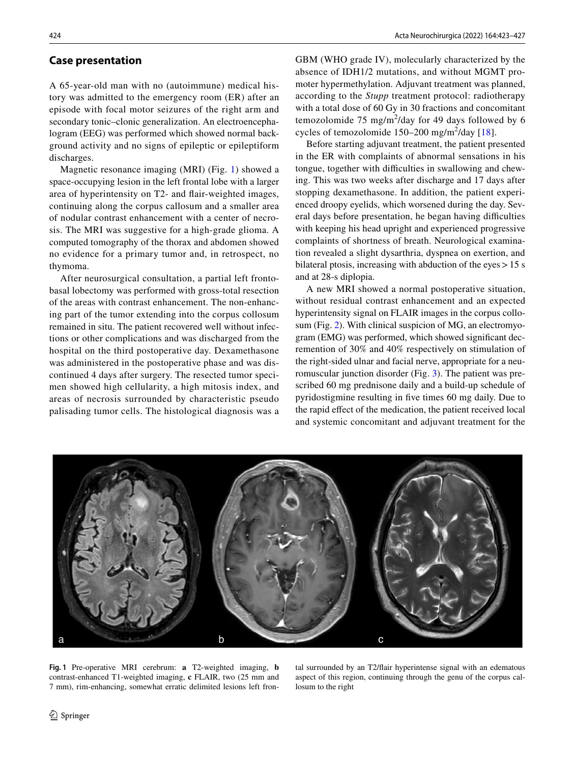# **Case presentation**

A 65-year-old man with no (autoimmune) medical history was admitted to the emergency room (ER) after an episode with focal motor seizures of the right arm and secondary tonic–clonic generalization. An electroencephalogram (EEG) was performed which showed normal background activity and no signs of epileptic or epileptiform discharges.

Magnetic resonance imaging (MRI) (Fig. [1\)](#page-1-0) showed a space-occupying lesion in the left frontal lobe with a larger area of hyperintensity on T2- and fair-weighted images, continuing along the corpus callosum and a smaller area of nodular contrast enhancement with a center of necrosis. The MRI was suggestive for a high-grade glioma. A computed tomography of the thorax and abdomen showed no evidence for a primary tumor and, in retrospect, no thymoma.

After neurosurgical consultation, a partial left frontobasal lobectomy was performed with gross-total resection of the areas with contrast enhancement. The non-enhancing part of the tumor extending into the corpus collosum remained in situ. The patient recovered well without infections or other complications and was discharged from the hospital on the third postoperative day. Dexamethasone was administered in the postoperative phase and was discontinued 4 days after surgery. The resected tumor specimen showed high cellularity, a high mitosis index, and areas of necrosis surrounded by characteristic pseudo palisading tumor cells. The histological diagnosis was a GBM (WHO grade IV), molecularly characterized by the absence of IDH1/2 mutations, and without MGMT promoter hypermethylation. Adjuvant treatment was planned, according to the *Stupp* treatment protocol: radiotherapy with a total dose of 60 Gy in 30 fractions and concomitant temozolomide  $75 \text{ mg/m}^2$ /day for 49 days followed by 6 cycles of temozolomide  $150-200$  mg/m<sup>2</sup>/day [\[18\]](#page-4-3).

Before starting adjuvant treatment, the patient presented in the ER with complaints of abnormal sensations in his tongue, together with difficulties in swallowing and chewing. This was two weeks after discharge and 17 days after stopping dexamethasone. In addition, the patient experienced droopy eyelids, which worsened during the day. Several days before presentation, he began having difficulties with keeping his head upright and experienced progressive complaints of shortness of breath. Neurological examination revealed a slight dysarthria, dyspnea on exertion, and bilateral ptosis, increasing with abduction of the eyes  $> 15$  s and at 28-s diplopia.

A new MRI showed a normal postoperative situation, without residual contrast enhancement and an expected hyperintensity signal on FLAIR images in the corpus collosum (Fig. [2](#page-2-0)). With clinical suspicion of MG, an electromyogram (EMG) was performed, which showed signifcant decremention of 30% and 40% respectively on stimulation of the right-sided ulnar and facial nerve, appropriate for a neuromuscular junction disorder (Fig. [3\)](#page-2-1). The patient was prescribed 60 mg prednisone daily and a build-up schedule of pyridostigmine resulting in fve times 60 mg daily. Due to the rapid effect of the medication, the patient received local and systemic concomitant and adjuvant treatment for the



<span id="page-1-0"></span>**Fig. 1** Pre-operative MRI cerebrum: **a** T2-weighted imaging, **b** contrast-enhanced T1-weighted imaging, **c** FLAIR, two (25 mm and 7 mm), rim-enhancing, somewhat erratic delimited lesions left fron-

tal surrounded by an T2/fair hyperintense signal with an edematous aspect of this region, continuing through the genu of the corpus callosum to the right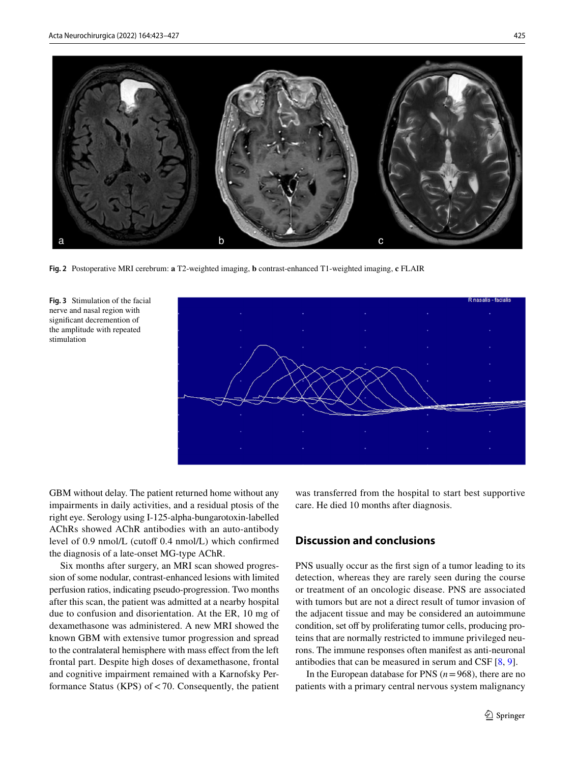

**Fig. 2** Postoperative MRI cerebrum: **a** T2-weighted imaging, **b** contrast-enhanced T1-weighted imaging, **c** FLAIR

<span id="page-2-1"></span><span id="page-2-0"></span>



GBM without delay. The patient returned home without any impairments in daily activities, and a residual ptosis of the right eye. Serology using I-125-alpha-bungarotoxin-labelled AChRs showed AChR antibodies with an auto-antibody level of 0.9 nmol/L (cutoff 0.4 nmol/L) which confirmed the diagnosis of a late-onset MG-type AChR.

Six months after surgery, an MRI scan showed progression of some nodular, contrast-enhanced lesions with limited perfusion ratios, indicating pseudo-progression. Two months after this scan, the patient was admitted at a nearby hospital due to confusion and disorientation. At the ER, 10 mg of dexamethasone was administered. A new MRI showed the known GBM with extensive tumor progression and spread to the contralateral hemisphere with mass efect from the left frontal part. Despite high doses of dexamethasone, frontal and cognitive impairment remained with a Karnofsky Performance Status (KPS) of  $< 70$ . Consequently, the patient

was transferred from the hospital to start best supportive care. He died 10 months after diagnosis.

# **Discussion and conclusions**

PNS usually occur as the frst sign of a tumor leading to its detection, whereas they are rarely seen during the course or treatment of an oncologic disease. PNS are associated with tumors but are not a direct result of tumor invasion of the adjacent tissue and may be considered an autoimmune condition, set off by proliferating tumor cells, producing proteins that are normally restricted to immune privileged neurons. The immune responses often manifest as anti-neuronal antibodies that can be measured in serum and CSF [[8,](#page-3-2) [9\]](#page-4-4).

In the European database for PNS  $(n=968)$ , there are no patients with a primary central nervous system malignancy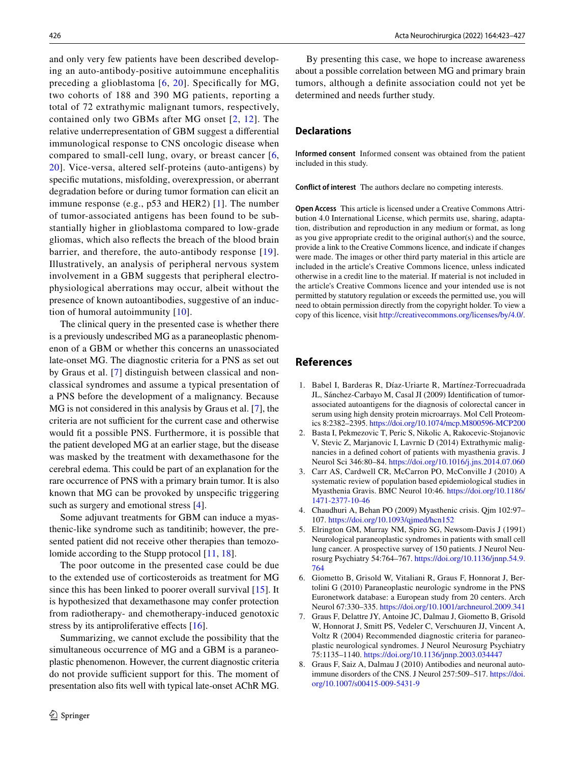and only very few patients have been described developing an auto-antibody-positive autoimmune encephalitis preceding a glioblastoma [[6](#page-3-3), [20](#page-4-5)]. Specifcally for MG, two cohorts of 188 and 390 MG patients, reporting a total of 72 extrathymic malignant tumors, respectively, contained only two GBMs after MG onset [[2](#page-3-4), [12](#page-4-6)]. The relative underrepresentation of GBM suggest a diferential immunological response to CNS oncologic disease when compared to small-cell lung, ovary, or breast cancer [\[6,](#page-3-3) [20\]](#page-4-5). Vice-versa, altered self-proteins (auto-antigens) by specifc mutations, misfolding, overexpression, or aberrant degradation before or during tumor formation can elicit an immune response (e.g., p53 and HER2) [\[1](#page-3-5)]. The number of tumor-associated antigens has been found to be substantially higher in glioblastoma compared to low-grade gliomas, which also refects the breach of the blood brain barrier, and therefore, the auto-antibody response [\[19](#page-4-7)]. Illustratively, an analysis of peripheral nervous system involvement in a GBM suggests that peripheral electrophysiological aberrations may occur, albeit without the presence of known autoantibodies, suggestive of an induction of humoral autoimmunity [[10](#page-4-8)].

The clinical query in the presented case is whether there is a previously undescribed MG as a paraneoplastic phenomenon of a GBM or whether this concerns an unassociated late-onset MG. The diagnostic criteria for a PNS as set out by Graus et al. [\[7](#page-3-6)] distinguish between classical and nonclassical syndromes and assume a typical presentation of a PNS before the development of a malignancy. Because MG is not considered in this analysis by Graus et al. [[7\]](#page-3-6), the criteria are not sufficient for the current case and otherwise would ft a possible PNS. Furthermore, it is possible that the patient developed MG at an earlier stage, but the disease was masked by the treatment with dexamethasone for the cerebral edema. This could be part of an explanation for the rare occurrence of PNS with a primary brain tumor. It is also known that MG can be provoked by unspecifc triggering such as surgery and emotional stress [\[4](#page-3-7)].

Some adjuvant treatments for GBM can induce a myasthenic-like syndrome such as tanditinib; however, the presented patient did not receive other therapies than temozolomide according to the Stupp protocol [\[11](#page-4-9), [18](#page-4-3)].

The poor outcome in the presented case could be due to the extended use of corticosteroids as treatment for MG since this has been linked to poorer overall survival [\[15\]](#page-4-10). It is hypothesized that dexamethasone may confer protection from radiotherapy- and chemotherapy-induced genotoxic stress by its antiproliferative effects [\[16\]](#page-4-11).

Summarizing, we cannot exclude the possibility that the simultaneous occurrence of MG and a GBM is a paraneoplastic phenomenon. However, the current diagnostic criteria do not provide sufficient support for this. The moment of presentation also fts well with typical late-onset AChR MG.

By presenting this case, we hope to increase awareness about a possible correlation between MG and primary brain tumors, although a defnite association could not yet be determined and needs further study.

# **Declarations**

**Informed consent** Informed consent was obtained from the patient included in this study.

**Conflict of interest** The authors declare no competing interests.

**Open Access** This article is licensed under a Creative Commons Attribution 4.0 International License, which permits use, sharing, adaptation, distribution and reproduction in any medium or format, as long as you give appropriate credit to the original author(s) and the source, provide a link to the Creative Commons licence, and indicate if changes were made. The images or other third party material in this article are included in the article's Creative Commons licence, unless indicated otherwise in a credit line to the material. If material is not included in the article's Creative Commons licence and your intended use is not permitted by statutory regulation or exceeds the permitted use, you will need to obtain permission directly from the copyright holder. To view a copy of this licence, visit<http://creativecommons.org/licenses/by/4.0/>.

### **References**

- <span id="page-3-5"></span>1. Babel I, Barderas R, Díaz-Uriarte R, Martínez-Torrecuadrada JL, Sánchez-Carbayo M, Casal JI (2009) Identifcation of tumorassociated autoantigens for the diagnosis of colorectal cancer in serum using high density protein microarrays. Mol Cell Proteomics 8:2382–2395.<https://doi.org/10.1074/mcp.M800596-MCP200>
- <span id="page-3-4"></span>2. Basta I, Pekmezovic T, Peric S, Nikolic A, Rakocevic-Stojanovic V, Stevic Z, Marjanovic I, Lavrnic D (2014) Extrathymic malignancies in a defned cohort of patients with myasthenia gravis. J Neurol Sci 346:80–84.<https://doi.org/10.1016/j.jns.2014.07.060>
- <span id="page-3-1"></span>3. Carr AS, Cardwell CR, McCarron PO, McConville J (2010) A systematic review of population based epidemiological studies in Myasthenia Gravis. BMC Neurol 10:46. [https://doi.org/10.1186/](https://doi.org/10.1186/1471-2377-10-46) [1471-2377-10-46](https://doi.org/10.1186/1471-2377-10-46)
- <span id="page-3-7"></span>4. Chaudhuri A, Behan PO (2009) Myasthenic crisis. Qjm 102:97– 107.<https://doi.org/10.1093/qjmed/hcn152>
- <span id="page-3-0"></span>5. Elrington GM, Murray NM, Spiro SG, Newsom-Davis J (1991) Neurological paraneoplastic syndromes in patients with small cell lung cancer. A prospective survey of 150 patients. J Neurol Neurosurg Psychiatry 54:764–767. [https://doi.org/10.1136/jnnp.54.9.](https://doi.org/10.1136/jnnp.54.9.764) [764](https://doi.org/10.1136/jnnp.54.9.764)
- <span id="page-3-3"></span>6. Giometto B, Grisold W, Vitaliani R, Graus F, Honnorat J, Bertolini G (2010) Paraneoplastic neurologic syndrome in the PNS Euronetwork database: a European study from 20 centers. Arch Neurol 67:330–335.<https://doi.org/10.1001/archneurol.2009.341>
- <span id="page-3-6"></span>7. Graus F, Delattre JY, Antoine JC, Dalmau J, Giometto B, Grisold W, Honnorat J, Smitt PS, Vedeler C, Verschuuren JJ, Vincent A, Voltz R (2004) Recommended diagnostic criteria for paraneoplastic neurological syndromes. J Neurol Neurosurg Psychiatry 75:1135–1140.<https://doi.org/10.1136/jnnp.2003.034447>
- <span id="page-3-2"></span>8. Graus F, Saiz A, Dalmau J (2010) Antibodies and neuronal autoimmune disorders of the CNS. J Neurol 257:509–517. [https://doi.](https://doi.org/10.1007/s00415-009-5431-9) [org/10.1007/s00415-009-5431-9](https://doi.org/10.1007/s00415-009-5431-9)